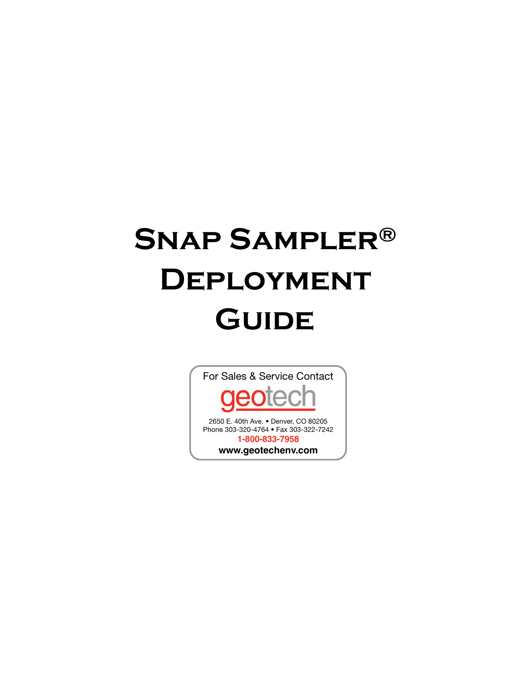# **Snap Sampler® Deployment Guide**

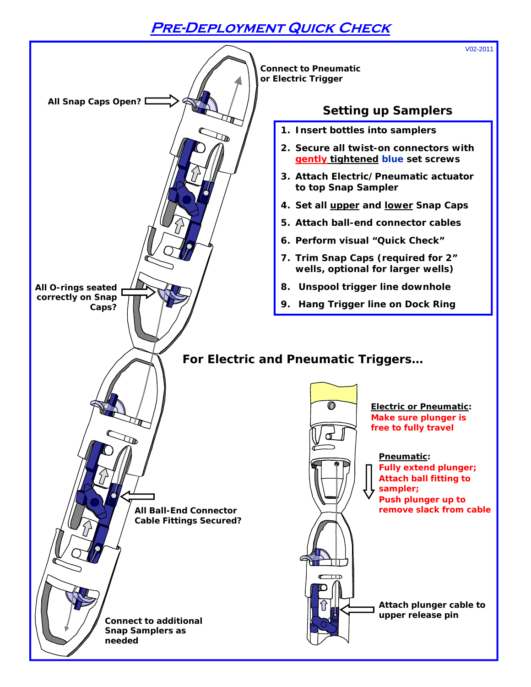### **Pre-Deployment Quick Check**

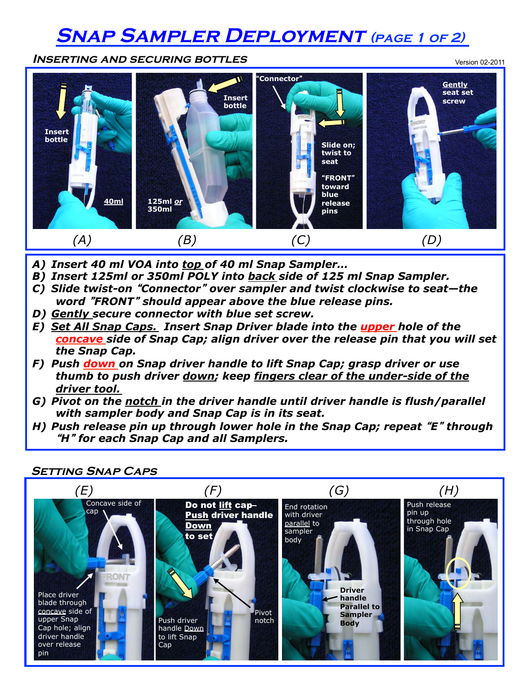### **Snap Sampler Deployment (page 1 of 2)**

**Inserting and securing bottles** 



- *A) Insert 40 ml VOA into top of 40 ml Snap Sampler…*
- *B) Insert 125ml or 350ml POLY into back side of 125 ml Snap Sampler.*
- *C) Slide twist-on* "*Connector*" *over sampler and twist clockwise to seat—the word* "*FRONT*" *should appear above the blue release pins.*
- *D) Gently secure connector with blue set screw.*
- *E) Set All Snap Caps. Insert Snap Driver blade into the upper hole of the concave side of Snap Cap; align driver over the release pin that you will set the Snap Cap.*
- *F) Push down on Snap driver handle to lift Snap Cap; grasp driver or use thumb to push driver down; keep fingers clear of the under-side of the driver tool.*
- *G) Pivot on the notch in the driver handle until driver handle is flush/parallel with sampler body and Snap Cap is in its seat.*
- *H) Push release pin up through lower hole in the Snap Cap; repeat* "*E*" *through*  "*H*" *for each Snap Cap and all Samplers.*



**Setting Snap Caps**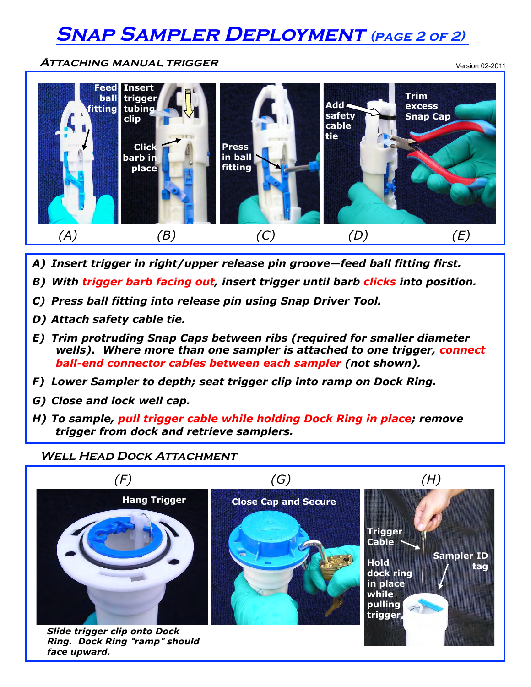## **Snap Sampler Deployment (page 2 of 2)**

**Attaching manual trigger** 

Version 02-2011



- *A) Insert trigger in right/upper release pin groove—feed ball fitting first.*
- *B) With trigger barb facing out, insert trigger until barb clicks into position.*
- *C) Press ball fitting into release pin using Snap Driver Tool.*
- *D) Attach safety cable tie.*
- *E) Trim protruding Snap Caps between ribs (required for smaller diameter wells). Where more than one sampler is attached to one trigger, connect ball-end connector cables between each sampler (not shown).*
- *F) Lower Sampler to depth; seat trigger clip into ramp on Dock Ring.*
- *G) Close and lock well cap.*
- *H) To sample, pull trigger cable while holding Dock Ring in place; remove trigger from dock and retrieve samplers.*

#### **WELL HEAD DOCK ATTACHMENT**



*Ring. Dock Ring* "*ramp*" *should face upward.*